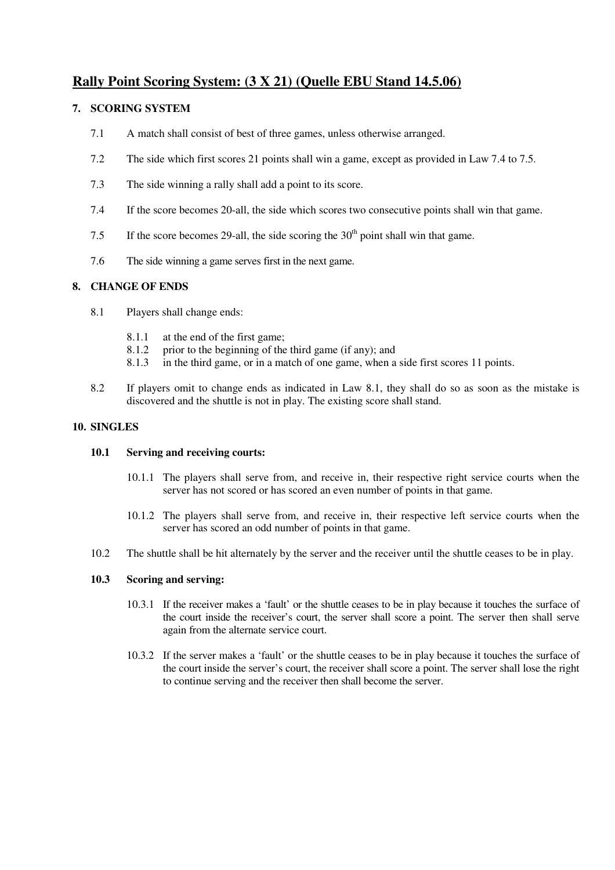# **Rally Point Scoring System: (3 X 21) (Quelle EBU Stand 14.5.06)**

## **7. SCORING SYSTEM**

- 7.1 A match shall consist of best of three games, unless otherwise arranged.
- 7.2 The side which first scores 21 points shall win a game, except as provided in Law 7.4 to 7.5.
- 7.3 The side winning a rally shall add a point to its score.
- 7.4 If the score becomes 20-all, the side which scores two consecutive points shall win that game.
- 7.5 If the score becomes 29-all, the side scoring the  $30<sup>th</sup>$  point shall win that game.
- 7.6 The side winning a game serves first in the next game.

## **8. CHANGE OF ENDS**

- 8.1 Players shall change ends:
	- 8.1.1 at the end of the first game;
	- 8.1.2 prior to the beginning of the third game (if any); and
	- 8.1.3 in the third game, or in a match of one game, when a side first scores 11 points.
- 8.2 If players omit to change ends as indicated in Law 8.1, they shall do so as soon as the mistake is discovered and the shuttle is not in play. The existing score shall stand.

## **10. SINGLES**

## **10.1 Serving and receiving courts:**

- 10.1.1 The players shall serve from, and receive in, their respective right service courts when the server has not scored or has scored an even number of points in that game.
- 10.1.2 The players shall serve from, and receive in, their respective left service courts when the server has scored an odd number of points in that game.
- 10.2 The shuttle shall be hit alternately by the server and the receiver until the shuttle ceases to be in play.

## **10.3 Scoring and serving:**

- 10.3.1 If the receiver makes a 'fault' or the shuttle ceases to be in play because it touches the surface of the court inside the receiver's court, the server shall score a point. The server then shall serve again from the alternate service court.
- 10.3.2 If the server makes a 'fault' or the shuttle ceases to be in play because it touches the surface of the court inside the server's court, the receiver shall score a point. The server shall lose the right to continue serving and the receiver then shall become the server.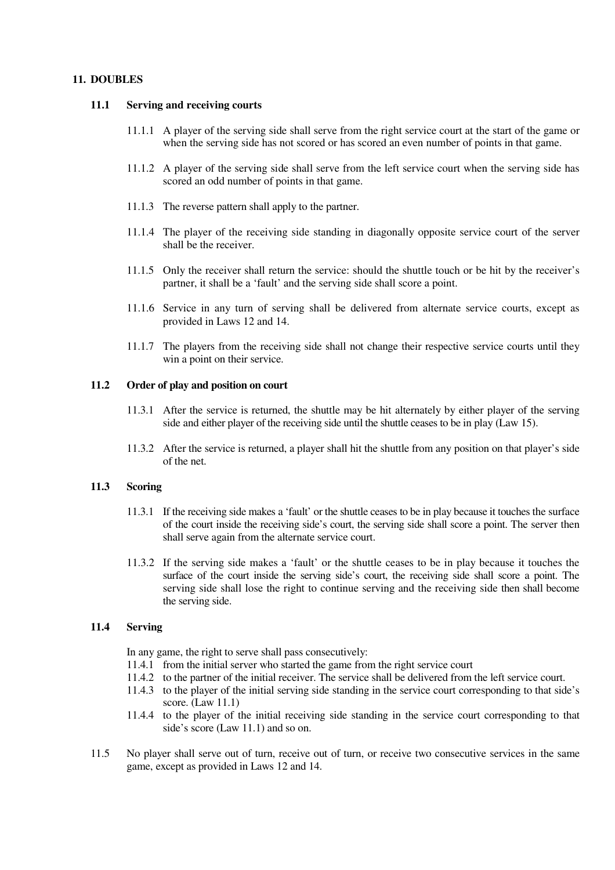#### **11. DOUBLES**

#### **11.1 Serving and receiving courts**

- 11.1.1 A player of the serving side shall serve from the right service court at the start of the game or when the serving side has not scored or has scored an even number of points in that game.
- 11.1.2 A player of the serving side shall serve from the left service court when the serving side has scored an odd number of points in that game.
- 11.1.3 The reverse pattern shall apply to the partner.
- 11.1.4 The player of the receiving side standing in diagonally opposite service court of the server shall be the receiver.
- 11.1.5 Only the receiver shall return the service: should the shuttle touch or be hit by the receiver's partner, it shall be a 'fault' and the serving side shall score a point.
- 11.1.6 Service in any turn of serving shall be delivered from alternate service courts, except as provided in Laws 12 and 14.
- 11.1.7 The players from the receiving side shall not change their respective service courts until they win a point on their service.

#### **11.2 Order of play and position on court**

- 11.3.1 After the service is returned, the shuttle may be hit alternately by either player of the serving side and either player of the receiving side until the shuttle ceases to be in play (Law 15).
- 11.3.2 After the service is returned, a player shall hit the shuttle from any position on that player's side of the net.

## **11.3 Scoring**

- 11.3.1 If the receiving side makes a 'fault' or the shuttle ceases to be in play because it touchesthe surface of the court inside the receiving side's court, the serving side shall score a point. The server then shall serve again from the alternate service court.
- 11.3.2 If the serving side makes a 'fault' or the shuttle ceases to be in play because it touches the surface of the court inside the serving side's court, the receiving side shall score a point. The serving side shall lose the right to continue serving and the receiving side then shall become the serving side.

## **11.4 Serving**

In any game, the right to serve shall pass consecutively:

- 11.4.1 from the initial server who started the game from the right service court
- 11.4.2 to the partner of the initial receiver. The service shall be delivered from the left service court.
- 11.4.3 to the player of the initial serving side standing in the service court corresponding to that side's score. (Law 11.1)
- 11.4.4 to the player of the initial receiving side standing in the service court corresponding to that side's score (Law 11.1) and so on.
- 11.5 No player shall serve out of turn, receive out of turn, or receive two consecutive services in the same game, except as provided in Laws 12 and 14.